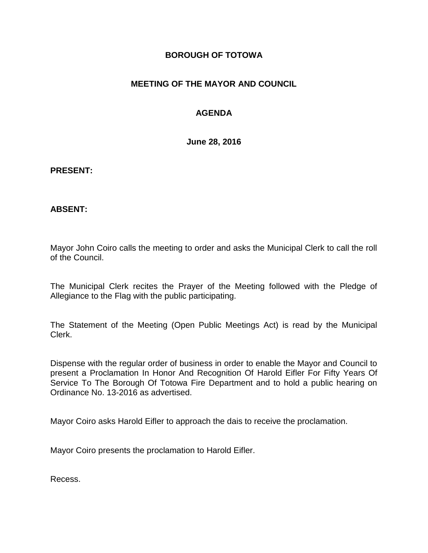## **BOROUGH OF TOTOWA**

## **MEETING OF THE MAYOR AND COUNCIL**

# **AGENDA**

**June 28, 2016**

#### **PRESENT:**

### **ABSENT:**

Mayor John Coiro calls the meeting to order and asks the Municipal Clerk to call the roll of the Council.

The Municipal Clerk recites the Prayer of the Meeting followed with the Pledge of Allegiance to the Flag with the public participating.

The Statement of the Meeting (Open Public Meetings Act) is read by the Municipal Clerk.

Dispense with the regular order of business in order to enable the Mayor and Council to present a Proclamation In Honor And Recognition Of Harold Eifler For Fifty Years Of Service To The Borough Of Totowa Fire Department and to hold a public hearing on Ordinance No. 13-2016 as advertised.

Mayor Coiro asks Harold Eifler to approach the dais to receive the proclamation.

Mayor Coiro presents the proclamation to Harold Eifler.

Recess.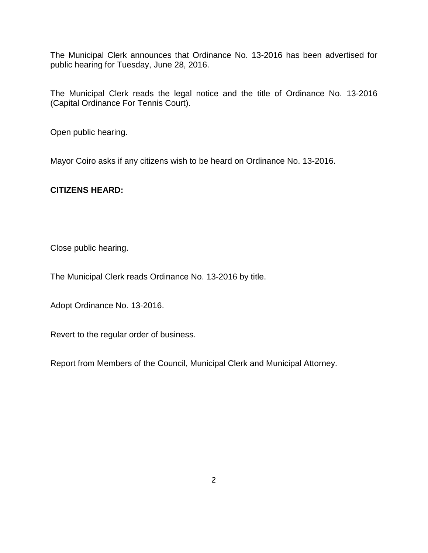The Municipal Clerk announces that Ordinance No. 13-2016 has been advertised for public hearing for Tuesday, June 28, 2016.

The Municipal Clerk reads the legal notice and the title of Ordinance No. 13-2016 (Capital Ordinance For Tennis Court).

Open public hearing.

Mayor Coiro asks if any citizens wish to be heard on Ordinance No. 13-2016.

### **CITIZENS HEARD:**

Close public hearing.

The Municipal Clerk reads Ordinance No. 13-2016 by title.

Adopt Ordinance No. 13-2016.

Revert to the regular order of business.

Report from Members of the Council, Municipal Clerk and Municipal Attorney.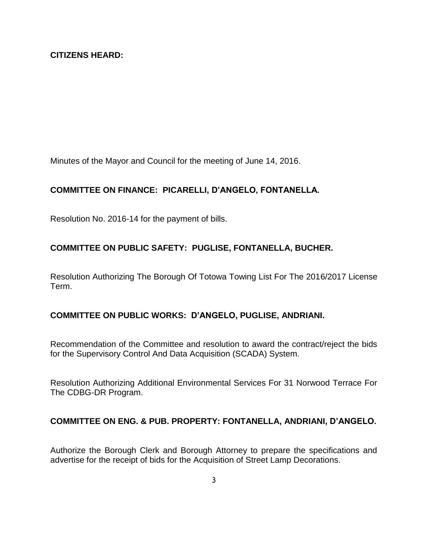Minutes of the Mayor and Council for the meeting of June 14, 2016.

### **COMMITTEE ON FINANCE: PICARELLI, D'ANGELO, FONTANELLA.**

Resolution No. 2016-14 for the payment of bills.

## **COMMITTEE ON PUBLIC SAFETY: PUGLISE, FONTANELLA, BUCHER.**

Resolution Authorizing The Borough Of Totowa Towing List For The 2016/2017 License Term.

### **COMMITTEE ON PUBLIC WORKS: D'ANGELO, PUGLISE, ANDRIANI.**

Recommendation of the Committee and resolution to award the contract/reject the bids for the Supervisory Control And Data Acquisition (SCADA) System.

Resolution Authorizing Additional Environmental Services For 31 Norwood Terrace For The CDBG-DR Program.

### **COMMITTEE ON ENG. & PUB. PROPERTY: FONTANELLA, ANDRIANI, D'ANGELO.**

Authorize the Borough Clerk and Borough Attorney to prepare the specifications and advertise for the receipt of bids for the Acquisition of Street Lamp Decorations.